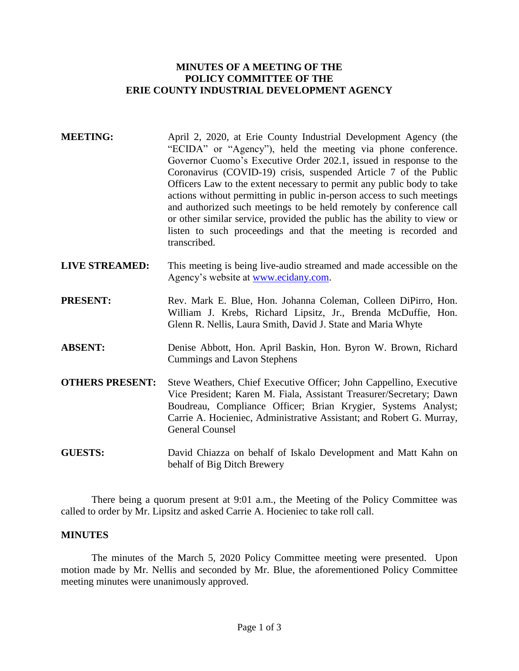## **MINUTES OF A MEETING OF THE POLICY COMMITTEE OF THE ERIE COUNTY INDUSTRIAL DEVELOPMENT AGENCY**

- **MEETING:** April 2, 2020, at Erie County Industrial Development Agency (the "ECIDA" or "Agency"), held the meeting via phone conference. Governor Cuomo's Executive Order 202.1, issued in response to the Coronavirus (COVID-19) crisis, suspended Article 7 of the Public Officers Law to the extent necessary to permit any public body to take actions without permitting in public in-person access to such meetings and authorized such meetings to be held remotely by conference call or other similar service, provided the public has the ability to view or listen to such proceedings and that the meeting is recorded and transcribed.
- **LIVE STREAMED:** This meeting is being live-audio streamed and made accessible on the Agency's website at [www.ecidany.com.](http://www.ecidany.com/)
- **PRESENT:** Rev. Mark E. Blue, Hon. Johanna Coleman, Colleen DiPirro, Hon. William J. Krebs, Richard Lipsitz, Jr., Brenda McDuffie, Hon. Glenn R. Nellis, Laura Smith, David J. State and Maria Whyte
- **ABSENT:** Denise Abbott, Hon. April Baskin, Hon. Byron W. Brown, Richard Cummings and Lavon Stephens
- **OTHERS PRESENT:** Steve Weathers, Chief Executive Officer; John Cappellino, Executive Vice President; Karen M. Fiala, Assistant Treasurer/Secretary; Dawn Boudreau, Compliance Officer; Brian Krygier, Systems Analyst; Carrie A. Hocieniec, Administrative Assistant; and Robert G. Murray, General Counsel
- **GUESTS:** David Chiazza on behalf of Iskalo Development and Matt Kahn on behalf of Big Ditch Brewery

There being a quorum present at 9:01 a.m., the Meeting of the Policy Committee was called to order by Mr. Lipsitz and asked Carrie A. Hocieniec to take roll call.

#### **MINUTES**

The minutes of the March 5, 2020 Policy Committee meeting were presented. Upon motion made by Mr. Nellis and seconded by Mr. Blue, the aforementioned Policy Committee meeting minutes were unanimously approved.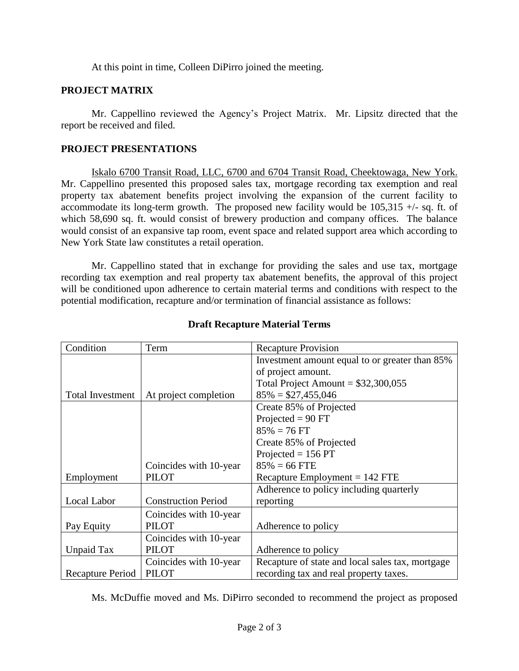At this point in time, Colleen DiPirro joined the meeting.

## **PROJECT MATRIX**

Mr. Cappellino reviewed the Agency's Project Matrix. Mr. Lipsitz directed that the report be received and filed.

# **PROJECT PRESENTATIONS**

Iskalo 6700 Transit Road, LLC, 6700 and 6704 Transit Road, Cheektowaga, New York. Mr. Cappellino presented this proposed sales tax, mortgage recording tax exemption and real property tax abatement benefits project involving the expansion of the current facility to accommodate its long-term growth. The proposed new facility would be  $105,315 +$ /- sq. ft. of which 58,690 sq. ft. would consist of brewery production and company offices. The balance would consist of an expansive tap room, event space and related support area which according to New York State law constitutes a retail operation.

Mr. Cappellino stated that in exchange for providing the sales and use tax, mortgage recording tax exemption and real property tax abatement benefits, the approval of this project will be conditioned upon adherence to certain material terms and conditions with respect to the potential modification, recapture and/or termination of financial assistance as follows:

| Condition               | Term                       | <b>Recapture Provision</b>                       |
|-------------------------|----------------------------|--------------------------------------------------|
|                         |                            | Investment amount equal to or greater than 85%   |
|                         |                            | of project amount.                               |
|                         |                            | Total Project Amount = $$32,300,055$             |
| <b>Total Investment</b> | At project completion      | $85\% = $27,455,046$                             |
|                         |                            | Create 85% of Projected                          |
|                         |                            | Projected = $90$ FT                              |
|                         |                            | $85\% = 76$ FT                                   |
|                         |                            | Create 85% of Projected                          |
|                         |                            | Projected = $156$ PT                             |
|                         | Coincides with 10-year     | $85\% = 66$ FTE                                  |
| Employment              | <b>PILOT</b>               | Recapture Employment $= 142$ FTE                 |
|                         |                            | Adherence to policy including quarterly          |
| Local Labor             | <b>Construction Period</b> | reporting                                        |
|                         | Coincides with 10-year     |                                                  |
| Pay Equity              | <b>PILOT</b>               | Adherence to policy                              |
|                         | Coincides with 10-year     |                                                  |
| Unpaid Tax              | <b>PILOT</b>               | Adherence to policy                              |
|                         | Coincides with 10-year     | Recapture of state and local sales tax, mortgage |
| Recapture Period        | <b>PILOT</b>               | recording tax and real property taxes.           |

# **Draft Recapture Material Terms**

Ms. McDuffie moved and Ms. DiPirro seconded to recommend the project as proposed